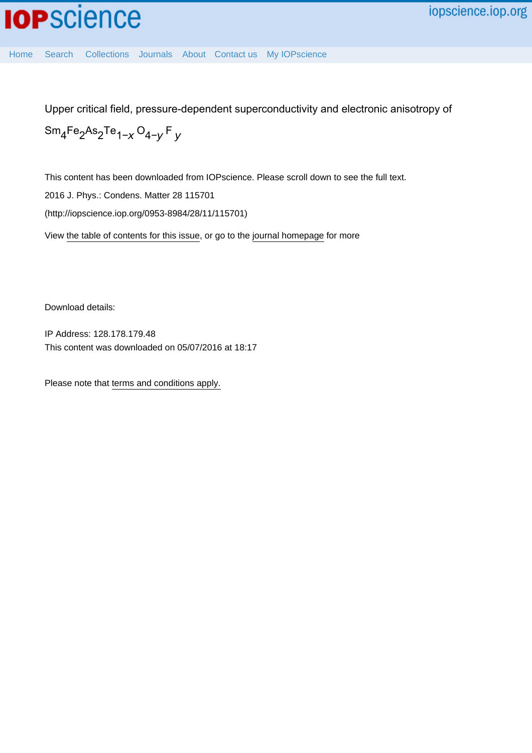[Home](http://iopscience.iop.org/) [Search](http://iopscience.iop.org/search) [Collections](http://iopscience.iop.org/collections) [Journals](http://iopscience.iop.org/journals) [About](http://iopscience.iop.org/page/aboutioppublishing) [Contact us](http://iopscience.iop.org/contact) [My IOPscience](http://iopscience.iop.org/myiopscience)

Upper critical field, pressure-dependent superconductivity and electronic anisotropy of

$$
\mathrm{Sm}_4\mathrm{Fe}_2\mathrm{As}_2\mathrm{Te}_{1-x}\mathrm{O}_{4-y}\mathrm{F}_y
$$

This content has been downloaded from IOPscience. Please scroll down to see the full text.

2016 J. Phys.: Condens. Matter 28 115701

(http://iopscience.iop.org/0953-8984/28/11/115701)

View [the table of contents for this issue](http://iopscience.iop.org/0953-8984/28/11), or go to the [journal homepage](http://iopscience.iop.org/0953-8984) for more

Download details:

IP Address: 128.178.179.48 This content was downloaded on 05/07/2016 at 18:17

Please note that [terms and conditions apply.](iopscience.iop.org/page/terms)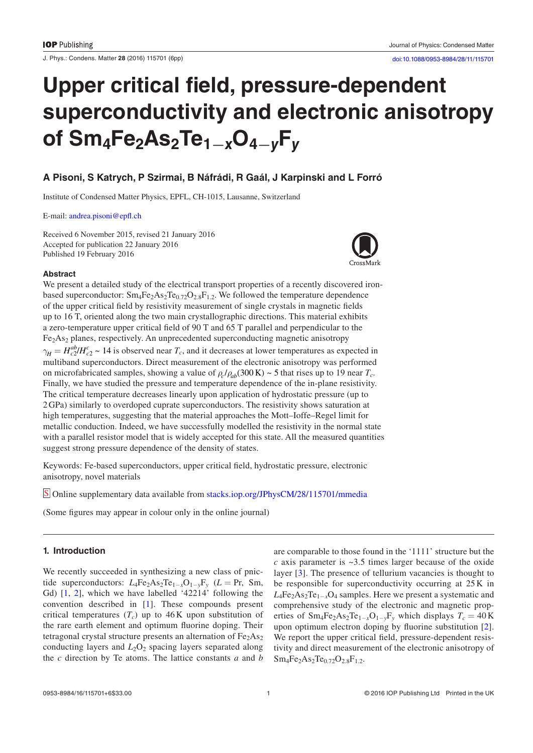J. Phys.: Condens. Matter **28** (2016) 115701 ([6](#page-6-3)pp) [doi:10.1088/0953-8984/28/11/115701](http://dx.doi.org/10.1088/0953-8984/28/11/115701)

# **Upper critical field, pressure-dependent superconductivity and electronic anisotropy of Sm4Fe2As2Te1−***<sup>x</sup>***O4−***<sup>y</sup>***F***<sup>y</sup>*

## **A Pisoni, S Katrych, P Szirmai, B Náfrádi, R Gaál, J Karpinski and L Forró**

Institute of Condensed Matter Physics, EPFL, CH-1015, Lausanne, Switzerland

E-mail: [andrea.pisoni@epfl.ch](mailto:andrea.pisoni@epfl.ch)

Received 6 November 2015, revised 21 January 2016 Accepted for publication 22 January 2016 Published 19 February 2016



#### **Abstract**

We present a detailed study of the electrical transport properties of a recently discovered ironbased superconductor:  $Sm_4Fe_2As_2Te_{0.72}O_{2.8}F_{1.2}$ . We followed the temperature dependence of the upper critical field by resistivity measurement of single crystals in magnetic fields up to 16 T, oriented along the two main crystallographic directions. This material exhibits a zero-temperature upper critical field of 90 T and 65 T parallel and perpendicular to the Fe<sub>2</sub>As<sub>2</sub> planes, respectively. An unprecedented superconducting magnetic anisotropy  $\gamma_H = H_{c2}^{ab} / H_{c2}^c \sim 14$  is observed near  $T_c$ , and it decreases at lower temperatures as expected in multiband superconductors. Direct measurement of the electronic anisotropy was performed on microfabricated samples, showing a value of  $\rho$  / $\rho_{ab}$ (300 K) ~ 5 that rises up to 19 near  $T_c$ . Finally, we have studied the pressure and temperature dependence of the in-plane resistivity. The critical temperature decreases linearly upon application of hydrostatic pressure (up to 2GPa) similarly to overdoped cuprate superconductors. The resistivity shows saturation at high temperatures, suggesting that the material approaches the Mott–Ioffe–Regel limit for metallic conduction. Indeed, we have successfully modelled the resistivity in the normal state with a parallel resistor model that is widely accepted for this state. All the measured quantities suggest strong pressure dependence of the density of states.

Keywords: Fe-based superconductors, upper critical field, hydrostatic pressure, electronic anisotropy, novel materials

S Online supplementary data available from [stacks.iop.org/JPhysCM/28/115701/mmedia](http://stacks.iop.org/JPhysCM/28/115701/mmedia)

(Some figures may appear in colour only in the online journal)

### **1. Introduction**

We recently succeeded in synthesizing a new class of pnictide superconductors:  $L_4Fe_2As_2Te_{1-x}O_{1-y}F_y$  ( $L = Pr$ , Sm, Gd) [\[1](#page-6-0), [2\]](#page-6-1), which we have labelled '42214' following the convention described in [[1\]](#page-6-0). These compounds present critical temperatures  $(T_c)$  up to 46 K upon substitution of the rare earth element and optimum fluorine doping. Their tetragonal crystal structure presents an alternation of  $Fe<sub>2</sub>As<sub>2</sub>$ conducting layers and  $L_2O_2$  spacing layers separated along the *c* direction by Te atoms. The lattice constants *a* and *b* are comparable to those found in the '1111' structure but the *c* axis parameter is ~3.5 times larger because of the oxide layer [[3](#page-6-2)]. The presence of tellurium vacancies is thought to be responsible for superconductivity occurring at 25 K in *L*<sub>4</sub>Fe<sub>2</sub>As<sub>2</sub>Te<sub>1−*x*</sub>O<sub>4</sub> samples. Here we present a systematic and comprehensive study of the electronic and magnetic properties of  $Sm_4Fe_2As_2Te_{1-x}O_{1-y}F_y$  which displays  $T_c = 40 K$ upon optimum electron doping by fluorine substitution [[2](#page-6-1)]. We report the upper critical field, pressure-dependent resistivity and direct measurement of the electronic anisotropy of  $Sm_4Fe_2As_2Te_{0.72}O_{2.8}F_{1.2}.$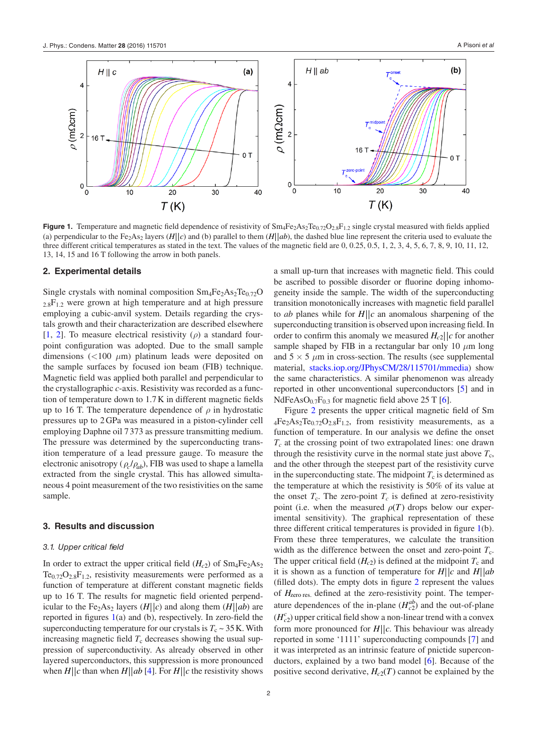<span id="page-2-0"></span>

**Figure 1.** Temperature and magnetic field dependence of resistivity of Sm<sub>4</sub>Fe<sub>2</sub>As<sub>2</sub>Te<sub>0.72</sub>O<sub>2.8</sub>F<sub>1.2</sub> single crystal measured with fields applied (a) perpendicular to the Fe<sub>2</sub>As<sub>2</sub> layers (*H*||c) and (b) parallel to them (*H*||ab), the dashed blue line represent the criteria used to evaluate the three different critical temperatures as stated in the text. The values of the magnetic field are 0, 0.25, 0.5, 1, 2, 3, 4, 5, 6, 7, 8, 9, 10, 11, 12, 13, 14, 15 and 16 T following the arrow in both panels.

#### **2. Experimental details**

Single crystals with nominal composition  $Sm_4Fe_2As_2Te_{0.72}O$  $2.8F_{1,2}$  were grown at high temperature and at high pressure employing a cubic-anvil system. Details regarding the crystals growth and their characterization are described elsewhere [\[1](#page-6-0), [2\]](#page-6-1). To measure electrical resistivity  $(\rho)$  a standard fourpoint configuration was adopted. Due to the small sample dimensions (<100 *μ*m) platinum leads were deposited on the sample surfaces by focused ion beam (FIB) technique. Magnetic field was applied both parallel and perpendicular to the crystallographic *c*-axis. Resistivity was recorded as a function of temperature down to 1.7K in different magnetic fields up to 16 T. The temperature dependence of  $\rho$  in hydrostatic pressures up to 2GPa was measured in a piston-cylinder cell employing Daphne oil 7 373 as pressure transmitting medium. The pressure was determined by the superconducting transition temperature of a lead pressure gauge. To measure the electronic anisotropy ( $\rho_c/\rho_{ab}$ ), FIB was used to shape a lamella extracted from the single crystal. This has allowed simultaneous 4 point measurement of the two resistivities on the same sample.

#### **3. Results and discussion**

#### *3.1. Upper critical field*

In order to extract the upper critical field  $(H<sub>c2</sub>)$  of  $Sm<sub>4</sub>Fe<sub>2</sub>As<sub>2</sub>$  $Te_{0.72}O_{2.8}F_{1.2}$ , resistivity measurements were performed as a function of temperature at different constant magnetic fields up to 16 T. The results for magnetic field oriented perpendicular to the Fe<sub>2</sub>As<sub>2</sub> layers (*H*||c) and along them (*H*||ab) are reported in figures  $1(a)$  $1(a)$  and (b), respectively. In zero-field the superconducting temperature for our crystals is  $T_c \sim 35$  K. With increasing magnetic field  $T_c$  decreases showing the usual suppression of superconductivity. As already observed in other layered superconductors, this suppression is more pronounced when  $H||c$  than when  $H||ab$  [[4\]](#page-6-4). For  $H||c$  the resistivity shows a small up-turn that increases with magnetic field. This could be ascribed to possible disorder or fluorine doping inhomogeneity inside the sample. The width of the superconducting transition monotonically increases with magnetic field parallel to *ab* planes while for  $H||c$  an anomalous sharpening of the superconducting transition is observed upon increasing field. In order to confirm this anomaly we measured  $H_{c2}$   $|c$  for another sample shaped by FIB in a rectangular bar only 10 *μ*m long and  $5 \times 5 \mu m$  in cross-section. The results (see supplemental material, [stacks.iop.org/JPhysCM/28/115701/mmedia](http://stacks.iop.org/JPhysCM/28/115701/mmedia)) show the same characteristics. A similar phenomenon was already reported in other unconventional superconductors [\[5](#page-6-5)] and in NdFeAsO $_{0.7}F_{0.3}$  for magnetic field above 25 T [[6\]](#page-6-6).

Figure [2](#page-3-0) presents the upper critical magnetic field of Sm  $_4Fe<sub>2</sub>As<sub>2</sub>Te<sub>0.72</sub>O<sub>2.8</sub>F<sub>1.2</sub>$ , from resistivity measurements, as a function of temperature. In our analysis we define the onset *Tc* at the crossing point of two extrapolated lines: one drawn through the resistivity curve in the normal state just above  $T_c$ , and the other through the steepest part of the resistivity curve in the superconducting state. The midpoint  $T_c$  is determined as the temperature at which the resistivity is 50% of its value at the onset  $T_c$ . The zero-point  $T_c$  is defined at zero-resistivity point (i.e. when the measured  $\rho(T)$  drops below our experimental sensitivity). The graphical representation of these three different critical temperatures is provided in figure [1\(](#page-2-0)b). From these three temperatures, we calculate the transition width as the difference between the onset and zero-point  $T_c$ . The upper critical field  $(H<sub>c2</sub>)$  is defined at the midpoint  $T<sub>c</sub>$  and it is shown as a function of temperature for  $H||c$  and  $H||ab$ (filled dots). The empty dots in figure [2](#page-3-0) represent the values of  $H<sub>zero res.</sub>$  defined at the zero-resistivity point. The temperature dependences of the in-plane  $(H_{c2}^{ab})$  and the out-of-plane  $(H_{c2}^c)$  upper critical field show a non-linear trend with a convex form more pronounced for  $H||c$ . This behaviour was already reported in some '1111' superconducting compounds [[7\]](#page-6-7) and it was interpreted as an intrinsic feature of pnictide superconductors, explained by a two band model [\[6](#page-6-6)]. Because of the positive second derivative,  $H_{c2}(T)$  cannot be explained by the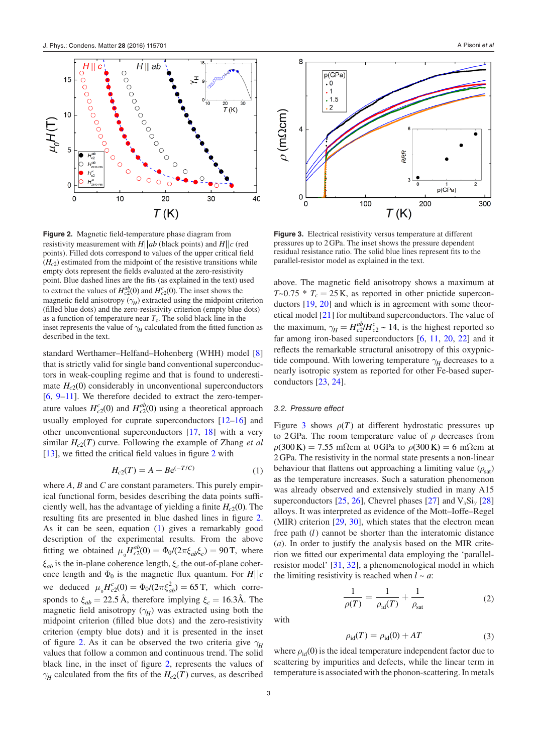<span id="page-3-0"></span>

**Figure 2.** Magnetic field-temperature phase diagram from resistivity measurement with  $H||ab$  (black points) and  $H||c$  (red points). Filled dots correspond to values of the upper critical field  $(H<sub>c2</sub>)$  estimated from the midpoint of the resistive transitions while empty dots represent the fields evaluated at the zero-resistivity point. Blue dashed lines are the fits (as explained in the text) used to extract the values of  $H_{c2}^{ab}(0)$  and  $H_{c2}^{c}(0)$ . The inset shows the magnetic field anisotropy  $(\gamma_H)$  extracted using the midpoint criterion (filled blue dots) and the zero-resistivity criterion (empty blue dots) as a function of temperature near  $T_c$ . The solid black line in the inset represents the value of  $\gamma$ <sup>H</sup> calculated from the fitted function as described in the text.

standard Werthamer–Helfand–Hohenberg (WHH) model [[8\]](#page-6-8) that is strictly valid for single band conventional superconductors in weak-coupling regime and that is found to underestimate  $H_{c2}(0)$  considerably in unconventional superconductors [\[6](#page-6-6), [9](#page-6-9)–[11\]](#page-6-10). We therefore decided to extract the zero-temperature values  $H_{c2}^{c}(0)$  and  $H_{c2}^{ab}(0)$  using a theoretical approach usually employed for cuprate superconductors [\[12](#page-6-11)–[16](#page-6-12)] and other unconventional superconductors [\[17](#page-6-13), [18](#page-6-14)] with a very similar  $H_{c2}(T)$  curve. Following the example of Zhang *et al* [\[13](#page-6-15)], we fitted the critical field values in figure [2](#page-3-0) with

$$
H_{c2}(T) = A + B e^{(-T/C)}
$$
 (1)

<span id="page-3-1"></span>where *A*, *B* and *C* are constant parameters. This purely empirical functional form, besides describing the data points sufficiently well, has the advantage of yielding a finite  $H_c<sub>2</sub>(0)$ . The resulting fits are presented in blue dashed lines in figure [2.](#page-3-0) As it can be seen, equation [\(1](#page-3-1)) gives a remarkably good description of the experimental results. From the above fitting we obtained  $\mu_0 H_{c2}^{ab}(0) = \Phi_0 / (2\pi \xi_{ab} \xi_c) = 90 \text{ T}$ , where *ξab* is the in-plane coherence length, *ξc* the out-of-plane coherence length and  $\Phi_0$  is the magnetic flux quantum. For  $H||c$ we deduced  $\mu_0 H_{c2}^c(0) = \Phi_0 / (2\pi \xi_{ab}^2) = 65 \text{ T}$ , which corresponds to  $\xi_{ab} = 22.5 \text{ Å}$ , therefore implying  $\xi_c = 16.3 \text{Å}$ . The magnetic field anisotropy  $(\gamma_H)$  was extracted using both the midpoint criterion (filled blue dots) and the zero-resistivity criterion (empty blue dots) and it is presented in the inset of figure [2.](#page-3-0) As it can be observed the two criteria give  $\gamma$ <sup>H</sup> values that follow a common and continuous trend. The solid black line, in the inset of figure [2,](#page-3-0) represents the values of *γ*<sub>*H*</sub> calculated from the fits of the  $H_{c2}(T)$  curves, as described

<span id="page-3-2"></span>

**Figure 3.** Electrical resistivity versus temperature at different pressures up to 2GPa. The inset shows the pressure dependent residual resistance ratio. The solid blue lines represent fits to the parallel-resistor model as explained in the text.

above. The magnetic field anisotropy shows a maximum at  $T \sim 0.75 * T_c = 25$  K, as reported in other pnictide superconductors [[19,](#page-6-16) [20](#page-6-17)] and which is in agreement with some theoretical model [\[21](#page-6-18)] for multiband superconductors. The value of the maximum,  $\gamma_H = H_{c2}^{ab}/H_{c2}^c \sim 14$ , is the highest reported so far among iron-based superconductors [\[6](#page-6-6), [11,](#page-6-10) [20,](#page-6-17) [22\]](#page-6-19) and it reflects the remarkable structural anisotropy of this oxypnictide compound. With lowering temperature  $\gamma$ <sup>H</sup> decreases to a nearly isotropic system as reported for other Fe-based superconductors [[23,](#page-6-20) [24\]](#page-6-21).

#### *3.2. Pressure effect*

Figure [3](#page-3-2) shows  $\rho(T)$  at different hydrostatic pressures up to 2GPa. The room temperature value of *ρ* decreases from  $\rho$ (300 K) = 7.55 mΩcm at 0 GPa to  $\rho$ (300 K) = 6 mΩcm at 2GPa. The resistivity in the normal state presents a non-linear behaviour that flattens out approaching a limiting value  $(\rho_{sat})$ as the temperature increases. Such a saturation phenomenon was already observed and extensively studied in many A15 superconductors [[25,](#page-6-22) [26\]](#page-6-23), Chevrel phases [\[27](#page-6-24)] and V*x*Si*y* [[28\]](#page-6-25) alloys. It was interpreted as evidence of the Mott–Ioffe–Regel (MIR) criterion [[29,](#page-6-26) [30](#page-6-27)], which states that the electron mean free path (*l*) cannot be shorter than the interatomic distance (*a*). In order to justify the analysis based on the MIR criterion we fitted our experimental data employing the 'parallelresistor model' [\[31](#page-6-28), [32](#page-6-29)], a phenomenological model in which the limiting resistivity is reached when  $l \sim a$ .

$$
\frac{1}{\rho(T)} = \frac{1}{\rho_{\rm id}(T)} + \frac{1}{\rho_{\rm sat}}\tag{2}
$$

<span id="page-3-3"></span>with

$$
\rho_{\rm id}(T) = \rho_{\rm id}(0) + AT \tag{3}
$$

<span id="page-3-4"></span>where  $\rho_{\rm id}(0)$  is the ideal temperature independent factor due to scattering by impurities and defects, while the linear term in temperature is associated with the phonon-scattering. In metals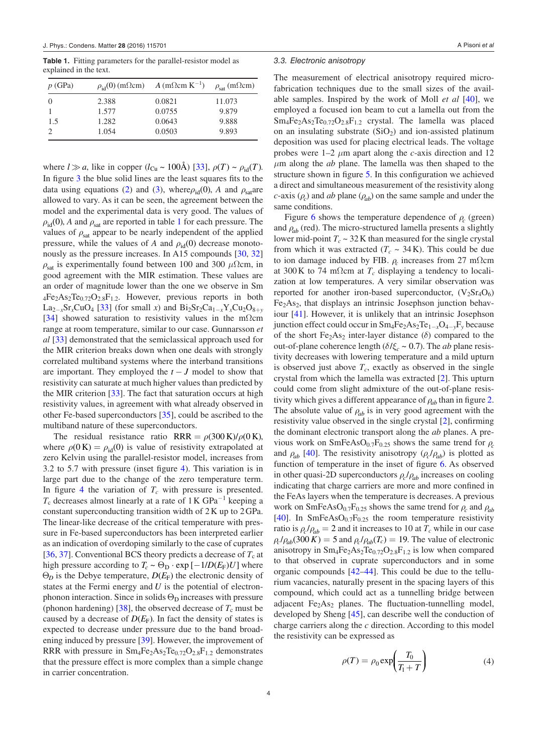<span id="page-4-0"></span>**Table 1.** Fitting parameters for the parallel-resistor model as explained in the text.

| $p$ (GPa) |       | $\rho_{\rm id}(0)$ (m $\Omega$ cm) $A$ (m $\Omega$ cm K <sup>-1</sup> ) | $\rho_{\text{sat}}$ (m $\Omega$ cm) |
|-----------|-------|-------------------------------------------------------------------------|-------------------------------------|
|           | 2.388 | 0.0821                                                                  | 11.073                              |
|           | 1.577 | 0.0755                                                                  | 9.879                               |
| 1.5       | 1.282 | 0.0643                                                                  | 9.888                               |
|           | 1.054 | 0.0503                                                                  | 9.893                               |

where  $l \gg a$ , like in copper  $(l_{Cu} \sim 100\text{\AA})$  [[33\]](#page-6-30),  $\rho(T) \sim \rho_{id}(T)$ . In figure [3](#page-3-2) the blue solid lines are the least squares fits to the data using equations ([2\)](#page-3-3) and ([3\)](#page-3-4), where  $\rho_{\text{id}}(0)$ , *A* and  $\rho_{\text{sat}}$  are allowed to vary. As it can be seen, the agreement between the model and the experimental data is very good. The values of  $\rho_{\rm id}$ (0), *A* and  $\rho_{\rm sat}$  are reported in table [1](#page-4-0) for each pressure. The values of  $\rho_{\text{sat}}$  appear to be nearly independent of the applied pressure, while the values of *A* and  $\rho_{\text{id}}(0)$  decrease monotonously as the pressure increases. In A15 compounds [\[30](#page-6-27), [32\]](#page-6-29)  $ρ<sub>sat</sub>$  is experimentally found between 100 and 300  $μΩcm$ , in good agreement with the MIR estimation. These values are an order of magnitude lower than the one we observe in Sm  $4Fe<sub>2</sub>As<sub>2</sub>Te<sub>0.72</sub>O<sub>2.8</sub>F<sub>1.2</sub>$ . However, previous reports in both La<sub>2−*x*</sub>Sr<sub>*x*</sub>CuO<sub>4</sub> [[33\]](#page-6-30) (for small *x*) and Bi<sub>2</sub>Sr<sub>2</sub>Ca<sub>1−*x*</sub>Y<sub>*x*</sub>Cu<sub>2</sub>O<sub>8+*y*</sub> [\[34](#page-6-31)] showed saturation to resistivity values in the mΩcm range at room temperature, similar to our case. Gunnarsson *et al* [[33\]](#page-6-30) demonstrated that the semiclassical approach used for the MIR criterion breaks down when one deals with strongly correlated multiband systems where the interband transitions are important. They employed the *t* − *J* model to show that resistivity can saturate at much higher values than predicted by the MIR criterion [\[33](#page-6-30)]. The fact that saturation occurs at high resistivity values, in agreement with what already observed in other Fe-based superconductors [[35\]](#page-6-32), could be ascribed to the multiband nature of these superconductors.

The residual resistance ratio RRR =  $\rho(300 \text{ K})/\rho(0 \text{ K})$ , where  $\rho(0 \text{ K}) = \rho_{\text{id}}(0)$  is value of resistivity extrapolated at zero Kelvin using the parallel-resistor model, increases from 3.2 to 5.7 with pressure (inset figure [4\)](#page-5-0). This variation is in large part due to the change of the zero temperature term. In figure [4](#page-5-0) the variation of  $T_c$  with pressure is presented.  $T_c$  decreases almost linearly at a rate of 1 K GPa<sup>-1</sup> keeping a constant superconducting transition width of 2K up to 2GPa. The linear-like decrease of the critical temperature with pressure in Fe-based superconductors has been interpreted earlier as an indication of overdoping similarly to the case of cuprates [\[36](#page-6-33), [37](#page-6-34)]. Conventional BCS theory predicts a decrease of  $T_c$  at high pressure according to  $T_c \sim \Theta_D \cdot \exp[-1/D(E_F)U]$  where  $\Theta_D$  is the Debye temperature,  $D(E_F)$  the electronic density of states at the Fermi energy and *U* is the potential of electronphonon interaction. Since in solids  $\Theta_{\rm D}$  increases with pressure (phonon hardening) [[38\]](#page-6-35), the observed decrease of  $T_c$  must be caused by a decrease of  $D(E_F)$ . In fact the density of states is expected to decrease under pressure due to the band broadening induced by pressure [[39\]](#page-6-36). However, the improvement of RRR with pressure in  $Sm_4Fe_2As_2Te_{0.72}O_{2.8}F_{1.2}$  demonstrates that the pressure effect is more complex than a simple change in carrier concentration.

#### *3.3. Electronic anisotropy*

The measurement of electrical anisotropy required microfabrication techniques due to the small sizes of the available samples. Inspired by the work of Moll *et al* [\[40](#page-6-37)], we employed a focused ion beam to cut a lamella out from the  $Sm_4Fe_2As_2Te_{0.72}O_{2.8}F_{1.2}$  crystal. The lamella was placed on an insulating substrate  $(SiO<sub>2</sub>)$  and ion-assisted platinum deposition was used for placing electrical leads. The voltage probes were 1–2 *μ*m apart along the *c*-axis direction and 12 *μ*m along the *ab* plane. The lamella was then shaped to the structure shown in figure [5](#page-5-1). In this configuration we achieved a direct and simultaneous measurement of the resistivity along *c*-axis ( $\rho_c$ ) and *ab* plane ( $\rho_{ab}$ ) on the same sample and under the same conditions.

Figure [6](#page-5-2) shows the temperature dependence of  $\rho_c$  (green) and  $\rho_{ab}$  (red). The micro-structured lamella presents a slightly lower mid-point  $T_c \sim 32$  K than measured for the single crystal from which it was extracted  $(T_c \sim 34 \text{ K})$ . This could be due to ion damage induced by FIB. *ρc* increases from 27 mΩcm at 300K to 74 mΩcm at  $T_c$  displaying a tendency to localization at low temperatures. A very similar observation was reported for another iron-based superconductor,  $(V_2Sr_4O_6)$  $Fe<sub>2</sub>As<sub>2</sub>$ , that displays an intrinsic Josephson junction behaviour [[41\]](#page-6-38). However, it is unlikely that an intrinsic Josephson junction effect could occur in Sm4Fe2As2Te1−*<sup>x</sup>*O4−*<sup>y</sup>*F*y* because of the short Fe<sub>2</sub>As<sub>2</sub> inter-layer distance ( $\delta$ ) compared to the out-of-plane coherence length ( $\delta/\xi_c \sim 0.7$ ). The *ab* plane resistivity decreases with lowering temperature and a mild upturn is observed just above  $T_c$ , exactly as observed in the single crystal from which the lamella was extracted [\[2](#page-6-1)]. This upturn could come from slight admixture of the out-of-plane resistivity which gives a different appearance of  $\rho_{ab}$  than in figure [2.](#page-3-0) The absolute value of  $\rho_{ab}$  is in very good agreement with the resistivity value observed in the single crystal [[2\]](#page-6-1), confirming the dominant electronic transport along the *ab* planes. A previous work on SmFeAsO<sub>0.7</sub>F<sub>0.25</sub> shows the same trend for  $\rho_c$ and  $\rho_{ab}$  [[40\]](#page-6-37). The resistivity anisotropy  $(\rho_c/\rho_{ab})$  is plotted as function of temperature in the inset of figure [6.](#page-5-2) As observed in other quasi-2D superconductors  $ρ_c/ρ_{ab}$  increases on cooling indicating that charge carriers are more and more confined in the FeAs layers when the temperature is decreases. A previous work on SmFeAsO<sub>0.7</sub>F<sub>0.25</sub> shows the same trend for  $\rho_c$  and  $\rho_{ab}$ [\[40](#page-6-37)]. In SmFeAsO $_{0.7}F_{0.25}$  the room temperature resistivity ratio is  $\rho_c / \rho_{ab} = 2$  and it increases to 10 at  $T_c$  while in our case  $\rho_c / \rho_{ab} (300 \, K) = 5$  and  $\rho_c / \rho_{ab} (T_c) = 19$ . The value of electronic anisotropy in  $Sm_4Fe_2As_2Te_{0.72}O_{2.8}F_{1.2}$  is low when compared to that observed in cuprate superconductors and in some organic compounds [\[42](#page-6-39)–[44](#page-6-40)]. This could be due to the tellurium vacancies, naturally present in the spacing layers of this compound, which could act as a tunnelling bridge between adjacent  $Fe<sub>2</sub>As<sub>2</sub>$  planes. The fluctuation-tunnelling model, developed by Sheng [\[45](#page-6-41)], can describe well the conduction of charge carriers along the *c* direction. According to this model the resistivity can be expressed as

<span id="page-4-1"></span>
$$
\rho(T) = \rho_0 \exp\left(\frac{T_0}{T_1 + T}\right) \tag{4}
$$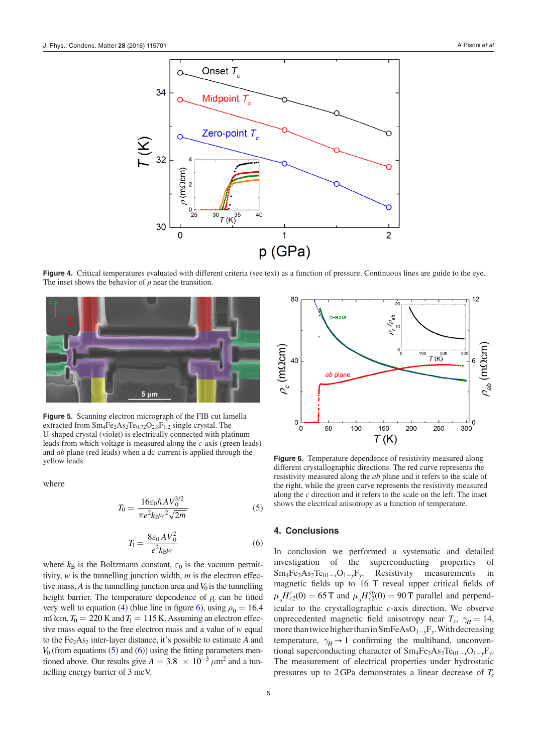<span id="page-5-0"></span>

**Figure 4.** Critical temperatures evaluated with different criteria (see text) as a function of pressure. Continuous lines are guide to the eye. The inset shows the behavior of  $\rho$  near the transition.

<span id="page-5-1"></span>

**Figure 5.** Scanning electron micrograph of the FIB cut lamella extracted from  $Sm_4Fe_2As_2Te_{0.72}O_{2.8}F_{1.2}$  single crystal. The U-shaped crystal (violet) is electrically connected with platinum leads from which voltage is measured along the *c*-axis (green leads) and *ab* plane (red leads) when a dc-current is applied through the yellow leads. **Figure 6.** Temperature dependence of resistivity measured along

<span id="page-5-3"></span>where

$$
T_0 = \frac{16\varepsilon_0 \hbar A V_0^{3/2}}{\pi e^2 k_B w^2 \sqrt{2m}}\tag{5}
$$

$$
T_1 = \frac{8\varepsilon_0 A V_0^2}{e^2 k_B w} \tag{6}
$$

<span id="page-5-4"></span>where  $k_B$  is the Boltzmann constant,  $\varepsilon_0$  is the vacuum permittivity, *w* is the tunnelling junction width, *m* is the electron effective mass,  $A$  is the tunnelling junction area and  $V_0$  is the tunnelling height barrier. The temperature dependence of  $\rho_c$  can be fitted very well to equation [\(4\)](#page-4-1) (blue line in figure [6\)](#page-5-2), using  $\rho_0 = 16.4$ mΩcm,  $T_0 = 220$  K and  $T_1 = 115$  K. Assuming an electron effective mass equal to the free electron mass and a value of *w* equal to the Fe<sub>2</sub>As<sub>2</sub> inter-layer distance, it's possible to estimate *A* and  $V_0$  (from equations  $(5)$  and  $(6)$ ) using the fitting parameters mentioned above. Our results give  $A = 3.8 \times 10^{-3} \mu m^2$  and a tunnelling energy barrier of 3 meV.

<span id="page-5-2"></span>

different crystallographic directions. The red curve represents the resistivity measured along the *ab* plane and it refers to the scale of the right, while the green curve represents the resistivity measured along the *c* direction and it refers to the scale on the left. The inset shows the electrical anisotropy as a function of temperature.

#### **4. Conclusions**

In conclusion we performed a systematic and detailed investigation of the superconducting properties of Sm4Fe2As2Te01−*<sup>x</sup>*O1−*<sup>y</sup>*F*y*. Resistivity measurements in magnetic fields up to 16 T reveal upper critical fields of  $\mu_0 H_{c2}^c(0) = 65$  T and  $\mu_0 H_{c2}^{ab}(0) = 90$  T parallel and perpendicular to the crystallographic *c*-axis direction. We observe unprecedented magnetic field anisotropy near  $T_c$ ,  $\gamma_H = 14$ , more than twice higher than in SmFeAsO1−*<sup>y</sup>*F*y*. With decreasing temperature,  $\gamma_H \rightarrow 1$  confirming the multiband, unconventional superconducting character of  $Sm_4Fe_2As_2Te_{01-x}O_{1-y}F_y$ . The measurement of electrical properties under hydrostatic pressures up to  $2 \text{GPa}$  demonstrates a linear decrease of  $T_c$